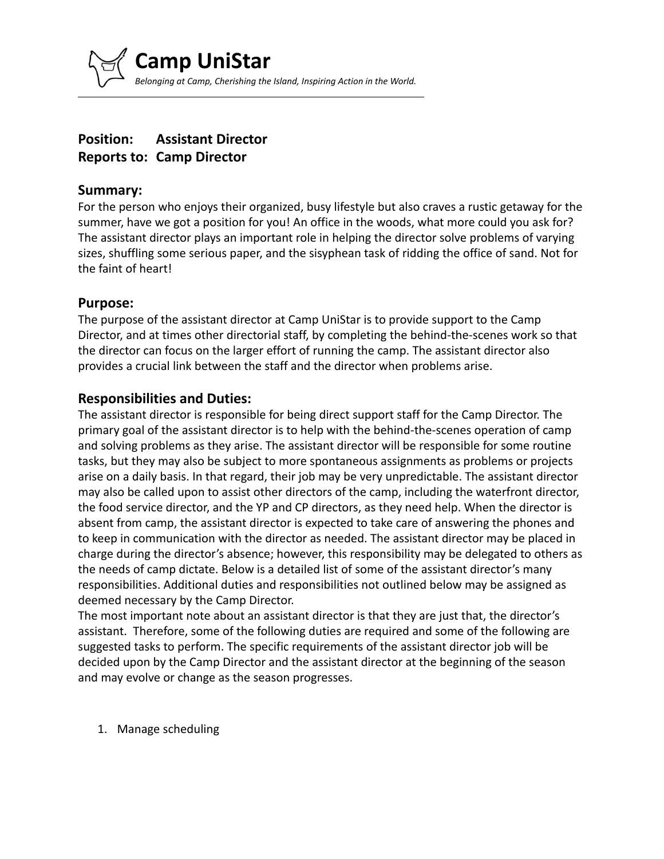

# **Position: Assistant Director Reports to: Camp Director**

#### **Summary:**

For the person who enjoys their organized, busy lifestyle but also craves a rustic getaway for the summer, have we got a position for you! An office in the woods, what more could you ask for? The assistant director plays an important role in helping the director solve problems of varying sizes, shuffling some serious paper, and the sisyphean task of ridding the office of sand. Not for the faint of heart!

#### **Purpose:**

The purpose of the assistant director at Camp UniStar is to provide support to the Camp Director, and at times other directorial staff, by completing the behind-the-scenes work so that the director can focus on the larger effort of running the camp. The assistant director also provides a crucial link between the staff and the director when problems arise.

## **Responsibilities and Duties:**

The assistant director is responsible for being direct support staff for the Camp Director. The primary goal of the assistant director is to help with the behind-the-scenes operation of camp and solving problems as they arise. The assistant director will be responsible for some routine tasks, but they may also be subject to more spontaneous assignments as problems or projects arise on a daily basis. In that regard, their job may be very unpredictable. The assistant director may also be called upon to assist other directors of the camp, including the waterfront director, the food service director, and the YP and CP directors, as they need help. When the director is absent from camp, the assistant director is expected to take care of answering the phones and to keep in communication with the director as needed. The assistant director may be placed in charge during the director's absence; however, this responsibility may be delegated to others as the needs of camp dictate. Below is a detailed list of some of the assistant director's many responsibilities. Additional duties and responsibilities not outlined below may be assigned as deemed necessary by the Camp Director.

The most important note about an assistant director is that they are just that, the director's assistant. Therefore, some of the following duties are required and some of the following are suggested tasks to perform. The specific requirements of the assistant director job will be decided upon by the Camp Director and the assistant director at the beginning of the season and may evolve or change as the season progresses.

1. Manage scheduling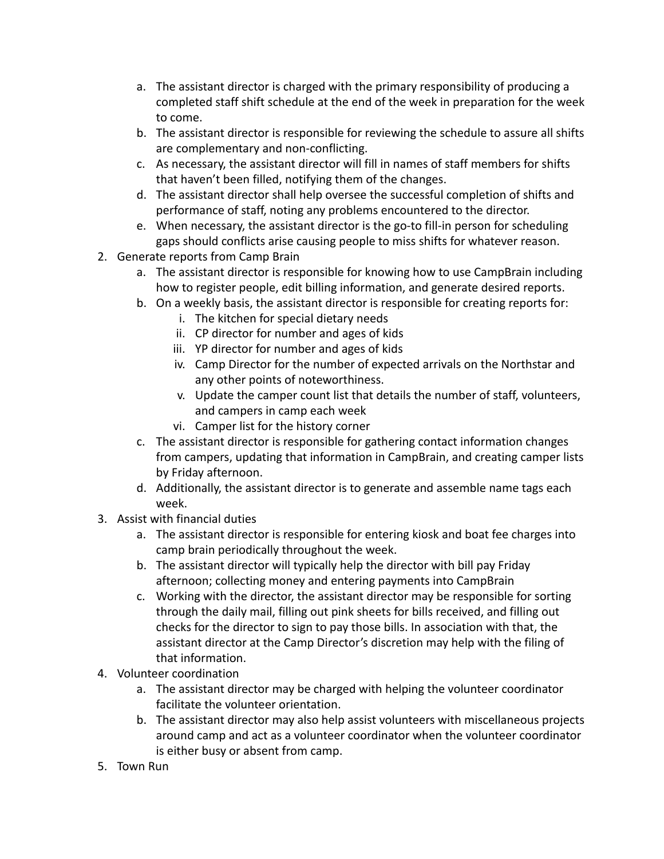- a. The assistant director is charged with the primary responsibility of producing a completed staff shift schedule at the end of the week in preparation for the week to come.
- b. The assistant director is responsible for reviewing the schedule to assure all shifts are complementary and non-conflicting.
- c. As necessary, the assistant director will fill in names of staff members for shifts that haven't been filled, notifying them of the changes.
- d. The assistant director shall help oversee the successful completion of shifts and performance of staff, noting any problems encountered to the director.
- e. When necessary, the assistant director is the go-to fill-in person for scheduling gaps should conflicts arise causing people to miss shifts for whatever reason.
- 2. Generate reports from Camp Brain
	- a. The assistant director is responsible for knowing how to use CampBrain including how to register people, edit billing information, and generate desired reports.
	- b. On a weekly basis, the assistant director is responsible for creating reports for:
		- i. The kitchen for special dietary needs
			- ii. CP director for number and ages of kids
		- iii. YP director for number and ages of kids
		- iv. Camp Director for the number of expected arrivals on the Northstar and any other points of noteworthiness.
		- v. Update the camper count list that details the number of staff, volunteers, and campers in camp each week
		- vi. Camper list for the history corner
	- c. The assistant director is responsible for gathering contact information changes from campers, updating that information in CampBrain, and creating camper lists by Friday afternoon.
	- d. Additionally, the assistant director is to generate and assemble name tags each week.
- 3. Assist with financial duties
	- a. The assistant director is responsible for entering kiosk and boat fee charges into camp brain periodically throughout the week.
	- b. The assistant director will typically help the director with bill pay Friday afternoon; collecting money and entering payments into CampBrain
	- c. Working with the director, the assistant director may be responsible for sorting through the daily mail, filling out pink sheets for bills received, and filling out checks for the director to sign to pay those bills. In association with that, the assistant director at the Camp Director's discretion may help with the filing of that information.
- 4. Volunteer coordination
	- a. The assistant director may be charged with helping the volunteer coordinator facilitate the volunteer orientation.
	- b. The assistant director may also help assist volunteers with miscellaneous projects around camp and act as a volunteer coordinator when the volunteer coordinator is either busy or absent from camp.
- 5. Town Run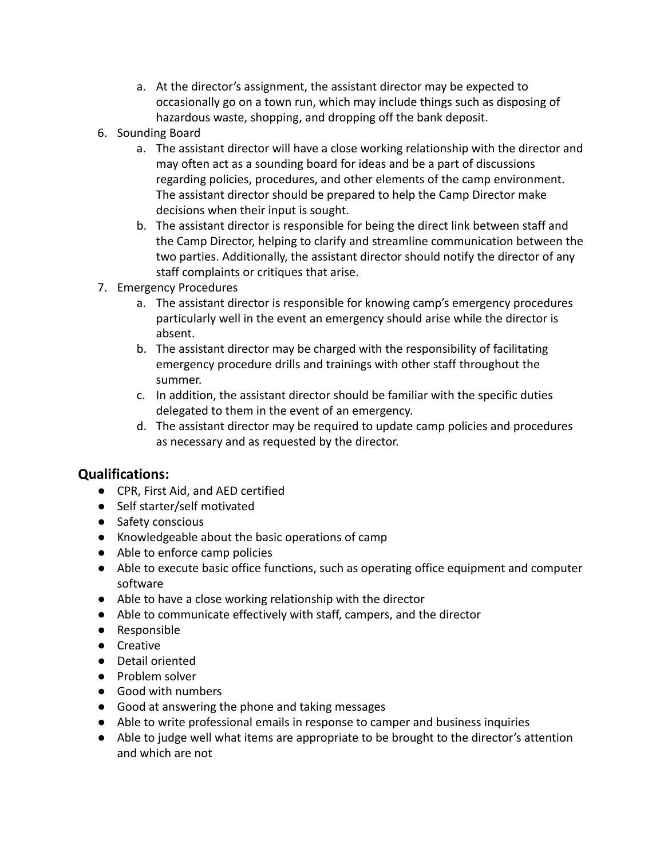- a. At the director's assignment, the assistant director may be expected to occasionally go on a town run, which may include things such as disposing of hazardous waste, shopping, and dropping off the bank deposit.
- 6. Sounding Board
	- a. The assistant director will have a close working relationship with the director and may often act as a sounding board for ideas and be a part of discussions regarding policies, procedures, and other elements of the camp environment. The assistant director should be prepared to help the Camp Director make decisions when their input is sought.
	- b. The assistant director is responsible for being the direct link between staff and the Camp Director, helping to clarify and streamline communication between the two parties. Additionally, the assistant director should notify the director of any staff complaints or critiques that arise.
- 7. Emergency Procedures
	- a. The assistant director is responsible for knowing camp's emergency procedures particularly well in the event an emergency should arise while the director is absent.
	- b. The assistant director may be charged with the responsibility of facilitating emergency procedure drills and trainings with other staff throughout the summer.
	- c. In addition, the assistant director should be familiar with the specific duties delegated to them in the event of an emergency.
	- d. The assistant director may be required to update camp policies and procedures as necessary and as requested by the director.

# **Qualifications:**

- CPR, First Aid, and AED certified
- Self starter/self motivated
- Safety conscious
- Knowledgeable about the basic operations of camp
- Able to enforce camp policies
- Able to execute basic office functions, such as operating office equipment and computer software
- Able to have a close working relationship with the director
- Able to communicate effectively with staff, campers, and the director
- Responsible
- Creative
- Detail oriented
- Problem solver
- Good with numbers
- Good at answering the phone and taking messages
- Able to write professional emails in response to camper and business inquiries
- Able to judge well what items are appropriate to be brought to the director's attention and which are not